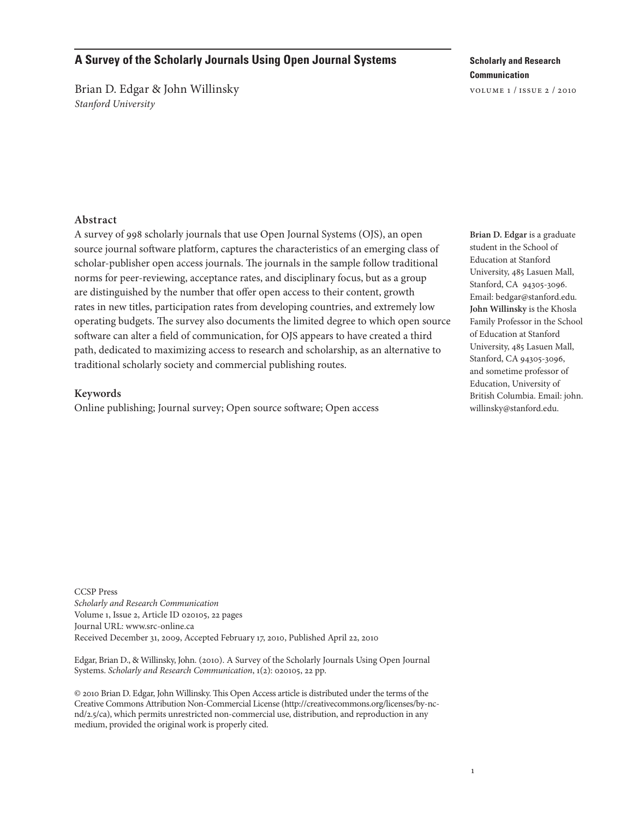# **A Survey of the Scholarly Journals Using Open Journal Systems**

Brian D. Edgar & John Willinsky *Stanford University*

# **Scholarly and Research Communication**

volume 1 / issue 2 / 2010

### **Abstract**

A survey of 998 scholarly journals that use Open Journal Systems (OJS), an open source journal software platform, captures the characteristics of an emerging class of scholar-publisher open access journals. The journals in the sample follow traditional norms for peer-reviewing, acceptance rates, and disciplinary focus, but as a group are distinguished by the number that offer open access to their content, growth rates in new titles, participation rates from developing countries, and extremely low operating budgets. The survey also documents the limited degree to which open source software can alter a field of communication, for OJS appears to have created a third path, dedicated to maximizing access to research and scholarship, as an alternative to traditional scholarly society and commercial publishing routes.

### **Keywords**

Online publishing; Journal survey; Open source software; Open access

**Brian D. Edgar** is a graduate student in the School of Education at Stanford University, 485 Lasuen Mall, Stanford, CA 94305-3096. Email: bedgar@stanford.edu. **John Willinsky** is the Khosla Family Professor in the School of Education at Stanford University, 485 Lasuen Mall, Stanford, CA 94305-3096, and sometime professor of Education, University of British Columbia. Email: john. willinsky@stanford.edu.

CCSP Press *Scholarly and Research Communication* Volume 1, Issue 2, Article ID 020105, 22 pages Journal URL: www.src-online.ca Received December 31, 2009, Accepted February 17, 2010, Published April 22, 2010

Edgar, Brian D., & Willinsky, John. (2010). A Survey of the Scholarly Journals Using Open Journal Systems. *Scholarly and Research Communication*, 1(2): 020105, 22 pp.

© 2010 Brian D. Edgar, John Willinsky. This Open Access article is distributed under the terms of the Creative Commons Attribution Non-Commercial License (http://creativecommons.org/licenses/by-ncnd/2.5/ca), which permits unrestricted non-commercial use, distribution, and reproduction in any medium, provided the original work is properly cited.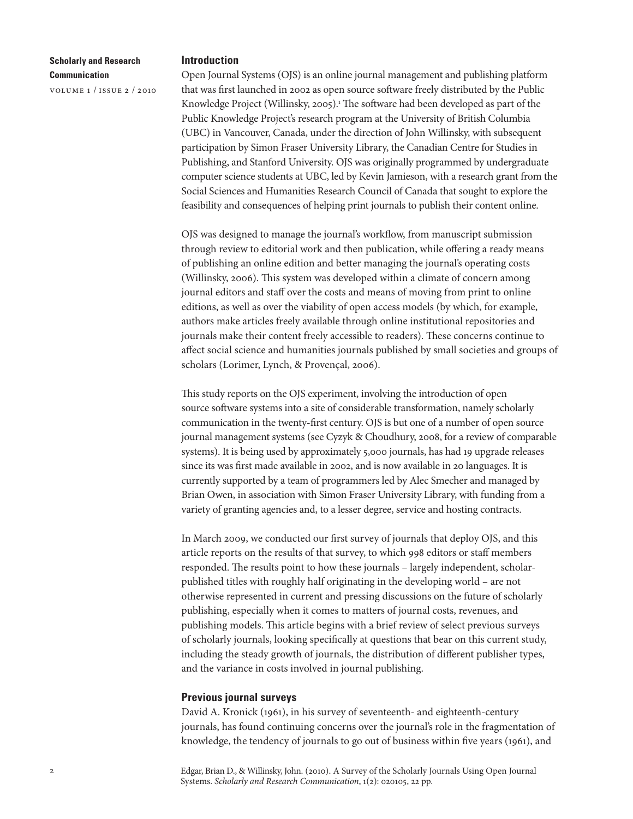volume 1 / issue 2 / 2010

#### **Introduction**

Open Journal Systems (OJS) is an online journal management and publishing platform that was first launched in 2002 as open source software freely distributed by the Public Knowledge Project (Willinsky, 2005).<sup>1</sup> The software had been developed as part of the Public Knowledge Project's research program at the University of British Columbia (UBC) in Vancouver, Canada, under the direction of John Willinsky, with subsequent participation by Simon Fraser University Library, the Canadian Centre for Studies in Publishing, and Stanford University. OJS was originally programmed by undergraduate computer science students at UBC, led by Kevin Jamieson, with a research grant from the Social Sciences and Humanities Research Council of Canada that sought to explore the feasibility and consequences of helping print journals to publish their content online.

OJS was designed to manage the journal's workflow, from manuscript submission through review to editorial work and then publication, while offering a ready means of publishing an online edition and better managing the journal's operating costs (Willinsky, 2006). This system was developed within a climate of concern among journal editors and staff over the costs and means of moving from print to online editions, as well as over the viability of open access models (by which, for example, authors make articles freely available through online institutional repositories and journals make their content freely accessible to readers). These concerns continue to affect social science and humanities journals published by small societies and groups of scholars (Lorimer, Lynch, & Provençal, 2006).

This study reports on the OJS experiment, involving the introduction of open source software systems into a site of considerable transformation, namely scholarly communication in the twenty-first century. OJS is but one of a number of open source journal management systems (see Cyzyk & Choudhury, 2008, for a review of comparable systems). It is being used by approximately 5,000 journals, has had 19 upgrade releases since its was first made available in 2002, and is now available in 20 languages. It is currently supported by a team of programmers led by Alec Smecher and managed by Brian Owen, in association with Simon Fraser University Library, with funding from a variety of granting agencies and, to a lesser degree, service and hosting contracts.

In March 2009, we conducted our first survey of journals that deploy OJS, and this article reports on the results of that survey, to which 998 editors or staff members responded. The results point to how these journals – largely independent, scholarpublished titles with roughly half originating in the developing world – are not otherwise represented in current and pressing discussions on the future of scholarly publishing, especially when it comes to matters of journal costs, revenues, and publishing models. This article begins with a brief review of select previous surveys of scholarly journals, looking specifically at questions that bear on this current study, including the steady growth of journals, the distribution of different publisher types, and the variance in costs involved in journal publishing.

### **Previous journal surveys**

David A. Kronick (1961), in his survey of seventeenth- and eighteenth-century journals, has found continuing concerns over the journal's role in the fragmentation of knowledge, the tendency of journals to go out of business within five years (1961), and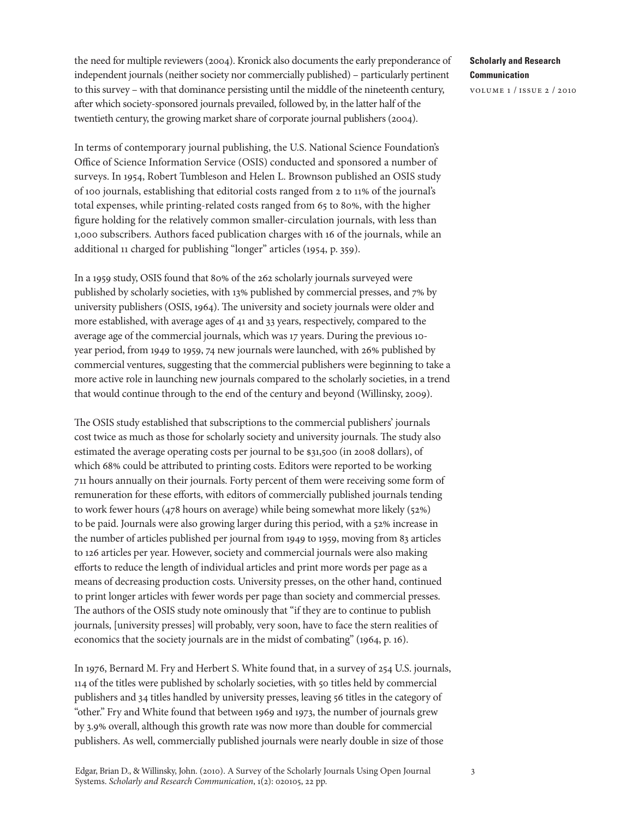the need for multiple reviewers (2004). Kronick also documents the early preponderance of independent journals (neither society nor commercially published) – particularly pertinent to this survey – with that dominance persisting until the middle of the nineteenth century, after which society-sponsored journals prevailed, followed by, in the latter half of the twentieth century, the growing market share of corporate journal publishers (2004).

In terms of contemporary journal publishing, the U.S. National Science Foundation's Office of Science Information Service (OSIS) conducted and sponsored a number of surveys. In 1954, Robert Tumbleson and Helen L. Brownson published an OSIS study of 100 journals, establishing that editorial costs ranged from 2 to 11% of the journal's total expenses, while printing-related costs ranged from 65 to 80%, with the higher figure holding for the relatively common smaller-circulation journals, with less than 1,000 subscribers. Authors faced publication charges with 16 of the journals, while an additional 11 charged for publishing "longer" articles (1954, p. 359).

In a 1959 study, OSIS found that 80% of the 262 scholarly journals surveyed were published by scholarly societies, with 13% published by commercial presses, and 7% by university publishers (OSIS, 1964). The university and society journals were older and more established, with average ages of 41 and 33 years, respectively, compared to the average age of the commercial journals, which was 17 years. During the previous 10 year period, from 1949 to 1959, 74 new journals were launched, with 26% published by commercial ventures, suggesting that the commercial publishers were beginning to take a more active role in launching new journals compared to the scholarly societies, in a trend that would continue through to the end of the century and beyond (Willinsky, 2009).

The OSIS study established that subscriptions to the commercial publishers' journals cost twice as much as those for scholarly society and university journals. The study also estimated the average operating costs per journal to be \$31,500 (in 2008 dollars), of which 68% could be attributed to printing costs. Editors were reported to be working 711 hours annually on their journals. Forty percent of them were receiving some form of remuneration for these efforts, with editors of commercially published journals tending to work fewer hours (478 hours on average) while being somewhat more likely (52%) to be paid. Journals were also growing larger during this period, with a 52% increase in the number of articles published per journal from 1949 to 1959, moving from 83 articles to 126 articles per year. However, society and commercial journals were also making efforts to reduce the length of individual articles and print more words per page as a means of decreasing production costs. University presses, on the other hand, continued to print longer articles with fewer words per page than society and commercial presses. The authors of the OSIS study note ominously that "if they are to continue to publish journals, [university presses] will probably, very soon, have to face the stern realities of economics that the society journals are in the midst of combating" (1964, p. 16).

In 1976, Bernard M. Fry and Herbert S. White found that, in a survey of 254 U.S. journals, 114 of the titles were published by scholarly societies, with 50 titles held by commercial publishers and 34 titles handled by university presses, leaving 56 titles in the category of "other." Fry and White found that between 1969 and 1973, the number of journals grew by 3.9% overall, although this growth rate was now more than double for commercial publishers. As well, commercially published journals were nearly double in size of those

# **Scholarly and Research Communication**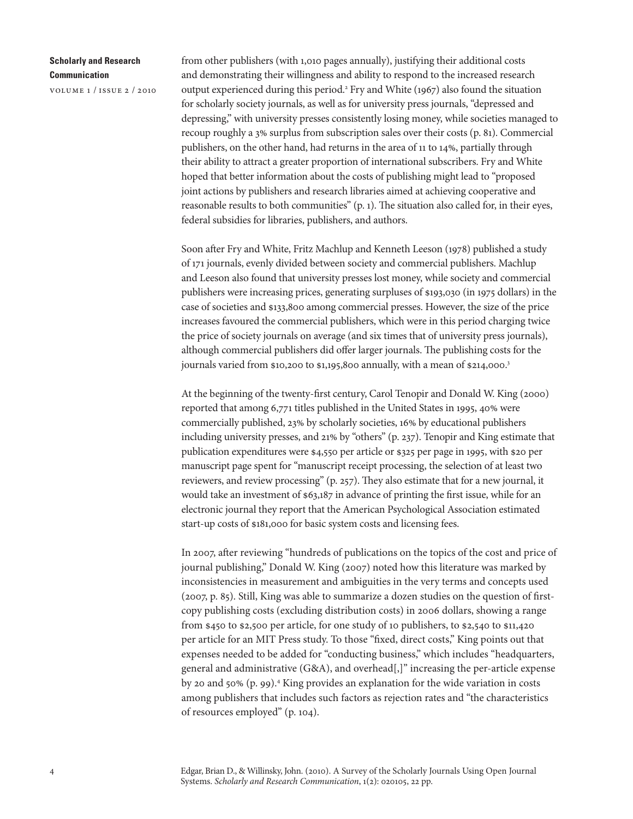volume 1 / issue 2 / 2010

from other publishers (with 1,010 pages annually), justifying their additional costs and demonstrating their willingness and ability to respond to the increased research output experienced during this period.<sup>2</sup> Fry and White (1967) also found the situation for scholarly society journals, as well as for university press journals, "depressed and depressing," with university presses consistently losing money, while societies managed to recoup roughly a 3% surplus from subscription sales over their costs (p. 81). Commercial publishers, on the other hand, had returns in the area of 11 to 14%, partially through their ability to attract a greater proportion of international subscribers. Fry and White hoped that better information about the costs of publishing might lead to "proposed joint actions by publishers and research libraries aimed at achieving cooperative and reasonable results to both communities" (p. 1). The situation also called for, in their eyes, federal subsidies for libraries, publishers, and authors.

Soon after Fry and White, Fritz Machlup and Kenneth Leeson (1978) published a study of 171 journals, evenly divided between society and commercial publishers. Machlup and Leeson also found that university presses lost money, while society and commercial publishers were increasing prices, generating surpluses of \$193,030 (in 1975 dollars) in the case of societies and \$133,800 among commercial presses. However, the size of the price increases favoured the commercial publishers, which were in this period charging twice the price of society journals on average (and six times that of university press journals), although commercial publishers did offer larger journals. The publishing costs for the journals varied from \$10,200 to \$1,195,800 annually, with a mean of \$214,000.<sup>3</sup>

At the beginning of the twenty-first century, Carol Tenopir and Donald W. King (2000) reported that among 6,771 titles published in the United States in 1995, 40% were commercially published, 23% by scholarly societies, 16% by educational publishers including university presses, and 21% by "others" (p. 237). Tenopir and King estimate that publication expenditures were \$4,550 per article or \$325 per page in 1995, with \$20 per manuscript page spent for "manuscript receipt processing, the selection of at least two reviewers, and review processing" (p. 257). They also estimate that for a new journal, it would take an investment of \$63,187 in advance of printing the first issue, while for an electronic journal they report that the American Psychological Association estimated start-up costs of \$181,000 for basic system costs and licensing fees.

In 2007, after reviewing "hundreds of publications on the topics of the cost and price of journal publishing," Donald W. King (2007) noted how this literature was marked by inconsistencies in measurement and ambiguities in the very terms and concepts used (2007, p. 85). Still, King was able to summarize a dozen studies on the question of firstcopy publishing costs (excluding distribution costs) in 2006 dollars, showing a range from \$450 to \$2,500 per article, for one study of 10 publishers, to \$2,540 to \$11,420 per article for an MIT Press study. To those "fixed, direct costs," King points out that expenses needed to be added for "conducting business," which includes "headquarters, general and administrative (G&A), and overhead[,]" increasing the per-article expense by 20 and 50% (p. 99).4 King provides an explanation for the wide variation in costs among publishers that includes such factors as rejection rates and "the characteristics of resources employed" (p. 104).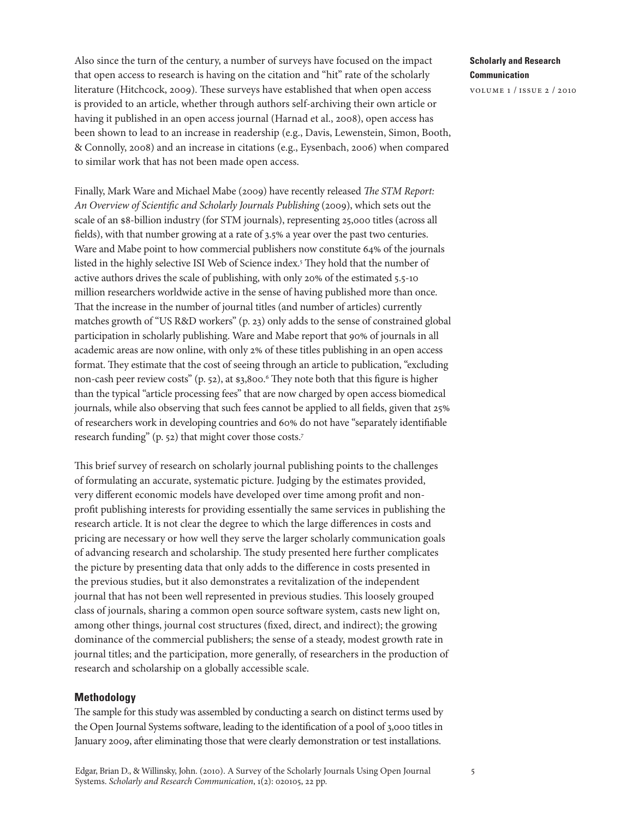Also since the turn of the century, a number of surveys have focused on the impact that open access to research is having on the citation and "hit" rate of the scholarly literature (Hitchcock, 2009). These surveys have established that when open access is provided to an article, whether through authors self-archiving their own article or having it published in an open access journal (Harnad et al., 2008), open access has been shown to lead to an increase in readership (e.g., Davis, Lewenstein, Simon, Booth, & Connolly, 2008) and an increase in citations (e.g., Eysenbach, 2006) when compared to similar work that has not been made open access.

Finally, Mark Ware and Michael Mabe (2009) have recently released *The STM Report: An Overview of Scientific and Scholarly Journals Publishing* (2009), which sets out the scale of an \$8-billion industry (for STM journals), representing 25,000 titles (across all fields), with that number growing at a rate of 3.5% a year over the past two centuries. Ware and Mabe point to how commercial publishers now constitute 64% of the journals listed in the highly selective ISI Web of Science index.5 They hold that the number of active authors drives the scale of publishing, with only 20% of the estimated 5.5-10 million researchers worldwide active in the sense of having published more than once. That the increase in the number of journal titles (and number of articles) currently matches growth of "US R&D workers" (p. 23) only adds to the sense of constrained global participation in scholarly publishing. Ware and Mabe report that 90% of journals in all academic areas are now online, with only 2% of these titles publishing in an open access format. They estimate that the cost of seeing through an article to publication, "excluding non-cash peer review costs" (p. 52), at \$3,800.<sup>6</sup> They note both that this figure is higher than the typical "article processing fees" that are now charged by open access biomedical journals, while also observing that such fees cannot be applied to all fields, given that 25% of researchers work in developing countries and 60% do not have "separately identifiable research funding" (p. 52) that might cover those costs.7

This brief survey of research on scholarly journal publishing points to the challenges of formulating an accurate, systematic picture. Judging by the estimates provided, very different economic models have developed over time among profit and nonprofit publishing interests for providing essentially the same services in publishing the research article. It is not clear the degree to which the large differences in costs and pricing are necessary or how well they serve the larger scholarly communication goals of advancing research and scholarship. The study presented here further complicates the picture by presenting data that only adds to the difference in costs presented in the previous studies, but it also demonstrates a revitalization of the independent journal that has not been well represented in previous studies. This loosely grouped class of journals, sharing a common open source software system, casts new light on, among other things, journal cost structures (fixed, direct, and indirect); the growing dominance of the commercial publishers; the sense of a steady, modest growth rate in journal titles; and the participation, more generally, of researchers in the production of research and scholarship on a globally accessible scale.

### **Methodology**

The sample for this study was assembled by conducting a search on distinct terms used by the Open Journal Systems software, leading to the identification of a pool of 3,000 titles in January 2009, after eliminating those that were clearly demonstration or test installations.

**Scholarly and Research Communication**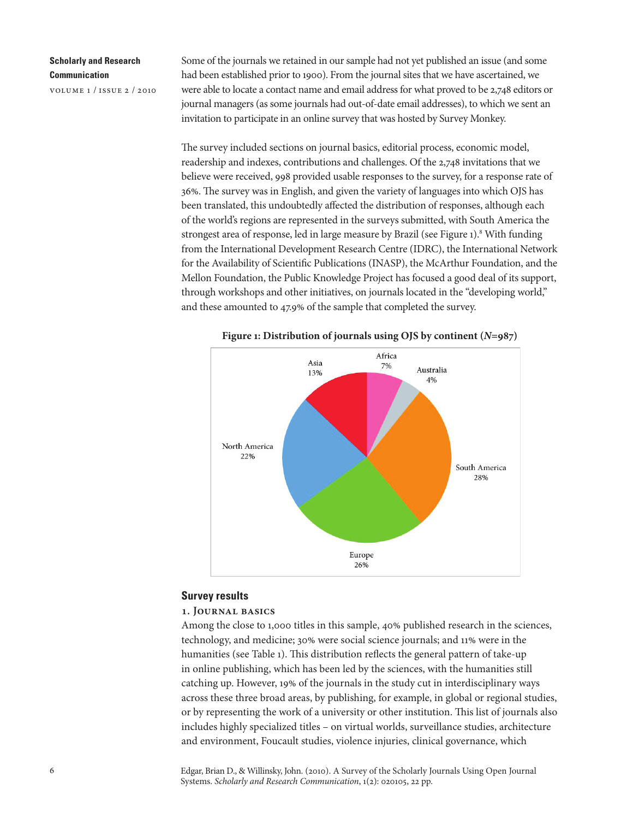volume 1 / issue 2 / 2010

Some of the journals we retained in our sample had not yet published an issue (and some had been established prior to 1900). From the journal sites that we have ascertained, we were able to locate a contact name and email address for what proved to be 2,748 editors or journal managers (as some journals had out-of-date email addresses), to which we sent an invitation to participate in an online survey that was hosted by Survey Monkey.

The survey included sections on journal basics, editorial process, economic model, readership and indexes, contributions and challenges. Of the 2,748 invitations that we believe were received, 998 provided usable responses to the survey, for a response rate of 36%. The survey was in English, and given the variety of languages into which OJS has been translated, this undoubtedly affected the distribution of responses, although each of the world's regions are represented in the surveys submitted, with South America the strongest area of response, led in large measure by Brazil (see Figure 1).<sup>8</sup> With funding from the International Development Research Centre (IDRC), the International Network for the Availability of Scientific Publications (INASP), the McArthur Foundation, and the Mellon Foundation, the Public Knowledge Project has focused a good deal of its support, through workshops and other initiatives, on journals located in the "developing world," and these amounted to 47.9% of the sample that completed the survey.



**Figure 1: Distribution of journals using OJS by continent (***N***=987)**

### **Survey results**

### **1. Journal basics**

Among the close to 1,000 titles in this sample, 40% published research in the sciences, technology, and medicine; 30% were social science journals; and 11% were in the humanities (see Table 1). This distribution reflects the general pattern of take-up in online publishing, which has been led by the sciences, with the humanities still catching up. However, 19% of the journals in the study cut in interdisciplinary ways across these three broad areas, by publishing, for example, in global or regional studies, or by representing the work of a university or other institution. This list of journals also includes highly specialized titles – on virtual worlds, surveillance studies, architecture and environment, Foucault studies, violence injuries, clinical governance, which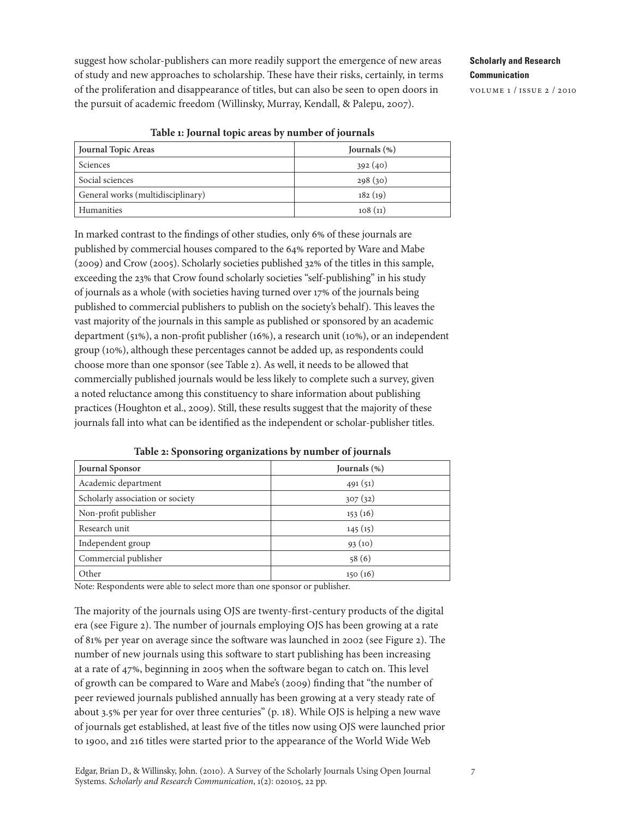suggest how scholar-publishers can more readily support the emergence of new areas of study and new approaches to scholarship. These have their risks, certainly, in terms of the proliferation and disappearance of titles, but can also be seen to open doors in the pursuit of academic freedom (Willinsky, Murray, Kendall, & Palepu, 2007).

# **Scholarly and Research Communication**

volume 1 / issue 2 / 2010

| Journal Topic Areas               | Journals $(\%)$ |
|-----------------------------------|-----------------|
| Sciences                          | 392(40)         |
| Social sciences                   | 298(30)         |
| General works (multidisciplinary) | 182(19)         |
| Humanities                        | 108(11)         |
|                                   |                 |

### **Table 1: Journal topic areas by number of journals**

In marked contrast to the findings of other studies, only 6% of these journals are published by commercial houses compared to the 64% reported by Ware and Mabe (2009) and Crow (2005). Scholarly societies published 32% of the titles in this sample, exceeding the 23% that Crow found scholarly societies "self-publishing" in his study of journals as a whole (with societies having turned over 17% of the journals being published to commercial publishers to publish on the society's behalf). This leaves the vast majority of the journals in this sample as published or sponsored by an academic department (51%), a non-profit publisher (16%), a research unit (10%), or an independent group (10%), although these percentages cannot be added up, as respondents could choose more than one sponsor (see Table 2). As well, it needs to be allowed that commercially published journals would be less likely to complete such a survey, given a noted reluctance among this constituency to share information about publishing practices (Houghton et al., 2009). Still, these results suggest that the majority of these journals fall into what can be identified as the independent or scholar-publisher titles.

| Journal Sponsor                  | Journals (%) |
|----------------------------------|--------------|
| Academic department              | 491(51)      |
| Scholarly association or society | 307(32)      |
| Non-profit publisher             | 153(16)      |
| Research unit                    | 145(15)      |
| Independent group                | 93(10)       |
| Commercial publisher             | 58(6)        |
| Other                            | 150(16)      |

#### **Table 2: Sponsoring organizations by number of journals**

Note: Respondents were able to select more than one sponsor or publisher.

The majority of the journals using OJS are twenty-first-century products of the digital era (see Figure 2). The number of journals employing OJS has been growing at a rate of 81% per year on average since the software was launched in 2002 (see Figure 2). The number of new journals using this software to start publishing has been increasing at a rate of 47%, beginning in 2005 when the software began to catch on. This level of growth can be compared to Ware and Mabe's (2009) finding that "the number of peer reviewed journals published annually has been growing at a very steady rate of about 3.5% per year for over three centuries" (p. 18). While OJS is helping a new wave of journals get established, at least five of the titles now using OJS were launched prior to 1900, and 216 titles were started prior to the appearance of the World Wide Web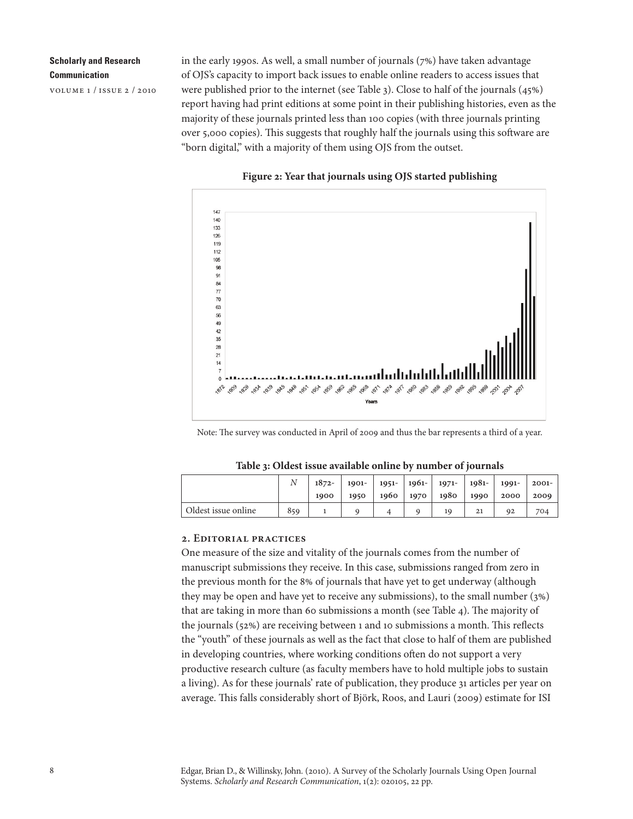volume 1 / issue 2 / 2010

in the early 1990s. As well, a small number of journals (7%) have taken advantage of OJS's capacity to import back issues to enable online readers to access issues that were published prior to the internet (see Table 3). Close to half of the journals (45%) report having had print editions at some point in their publishing histories, even as the majority of these journals printed less than 100 copies (with three journals printing over 5,000 copies). This suggests that roughly half the journals using this software are "born digital," with a majority of them using OJS from the outset.





Note: The survey was conducted in April of 2009 and thus the bar represents a third of a year.

|                     |     | $1872 -$ | 1901- | $1951 - 1961 - 1971$ |      |      | $1981-$ | 1991-          | 2001- |
|---------------------|-----|----------|-------|----------------------|------|------|---------|----------------|-------|
|                     |     | 1900     | 1950  | 1960                 | 1970 | 1980 | 1990    | 2000           | 2009  |
| Oldest issue online | 859 |          |       |                      |      | 19   | 21      | Q <sub>2</sub> | 704   |

#### **2. Editorial practices**

One measure of the size and vitality of the journals comes from the number of manuscript submissions they receive. In this case, submissions ranged from zero in the previous month for the 8% of journals that have yet to get underway (although they may be open and have yet to receive any submissions), to the small number (3%) that are taking in more than 60 submissions a month (see Table 4). The majority of the journals (52%) are receiving between 1 and 10 submissions a month. This reflects the "youth" of these journals as well as the fact that close to half of them are published in developing countries, where working conditions often do not support a very productive research culture (as faculty members have to hold multiple jobs to sustain a living). As for these journals' rate of publication, they produce 31 articles per year on average. This falls considerably short of Björk, Roos, and Lauri (2009) estimate for ISI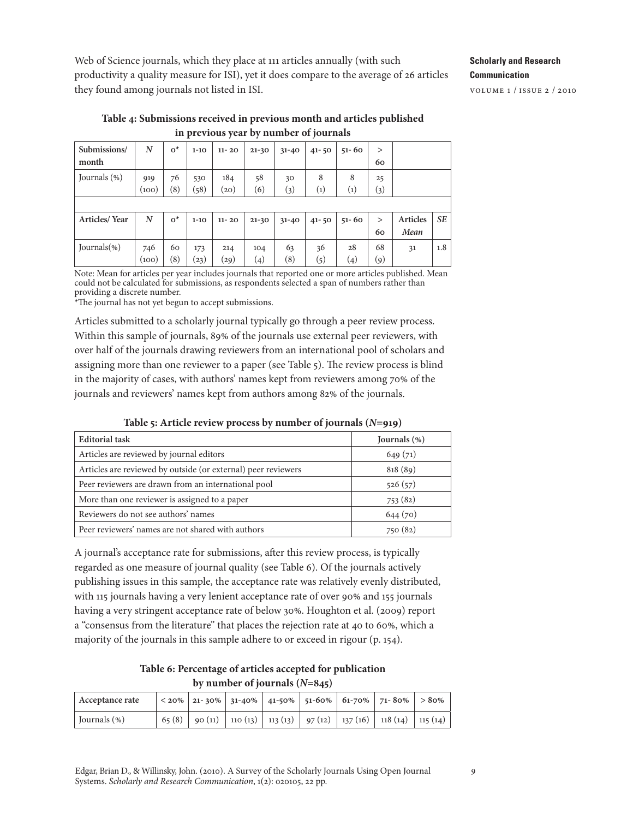Web of Science journals, which they place at 111 articles annually (with such productivity a quality measure for ISI), yet it does compare to the average of 26 articles they found among journals not listed in ISI.

### **Scholarly and Research Communication**

volume 1 / issue 2 / 2010

| Table 4: Submissions received in previous month and articles published |  |                                        |  |
|------------------------------------------------------------------------|--|----------------------------------------|--|
|                                                                        |  | in previous year by number of journals |  |

| Submissions/    | N                | $o^*$            | $1 - 10$ | $11 - 20$ | $21 - 30$         | $31 - 40$ | $41 - 50$         | $51 - 60$         | $\mathbf{r}$ |          |           |
|-----------------|------------------|------------------|----------|-----------|-------------------|-----------|-------------------|-------------------|--------------|----------|-----------|
| month           |                  |                  |          |           |                   |           |                   |                   | 60           |          |           |
| Journals (%)    | 919              | 76               | 530      | 184       | 58                | 30        | 8                 | 8                 | 25           |          |           |
|                 | (100)            | $\left(8\right)$ | (58)     | (20)      | (6)               | $_3)$     | $\left( 1\right)$ | $\left( 1\right)$ | $_{(3)}$     |          |           |
|                 |                  |                  |          |           |                   |           |                   |                   |              |          |           |
| Articles/Year   | $\boldsymbol{N}$ | $o^*$            | $1 - 10$ | $11 - 20$ | $21 - 30$         | $31 - 40$ | $41 - 50$         | $51 - 60$         | $\mathbf{r}$ | Articles | <b>SE</b> |
|                 |                  |                  |          |           |                   |           |                   |                   | 60           | Mean     |           |
| Journals $(\%)$ | 746              | 60               | 173      | 214       | 104               | 63        | 36                | 28                | 68           | 31       | 1.8       |
|                 | (100)            | $\left(8\right)$ | (23)     | (29)      | $\left( 4\right)$ | (8)       | (5)               | $\left( 4\right)$ | (و)          |          |           |

Note: Mean for articles per year includes journals that reported one or more articles published. Mean could not be calculated for submissions, as respondents selected a span of numbers rather than providing a discrete number.

\*The journal has not yet begun to accept submissions.

Articles submitted to a scholarly journal typically go through a peer review process. Within this sample of journals, 89% of the journals use external peer reviewers, with over half of the journals drawing reviewers from an international pool of scholars and assigning more than one reviewer to a paper (see Table 5). The review process is blind in the majority of cases, with authors' names kept from reviewers among 70% of the journals and reviewers' names kept from authors among 82% of the journals.

| <b>Editorial task</b>                                         | Journals (%) |
|---------------------------------------------------------------|--------------|
| Articles are reviewed by journal editors                      | 649(71)      |
| Articles are reviewed by outside (or external) peer reviewers | 818(89)      |
| Peer reviewers are drawn from an international pool           | 526(57)      |
| More than one reviewer is assigned to a paper                 | 753(82)      |
| Reviewers do not see authors' names                           | 644(70)      |
| Peer reviewers' names are not shared with authors             | 750 (82)     |

A journal's acceptance rate for submissions, after this review process, is typically regarded as one measure of journal quality (see Table 6). Of the journals actively publishing issues in this sample, the acceptance rate was relatively evenly distributed, with 115 journals having a very lenient acceptance rate of over 90% and 155 journals having a very stringent acceptance rate of below 30%. Houghton et al. (2009) report a "consensus from the literature" that places the rejection rate at 40 to 60%, which a majority of the journals in this sample adhere to or exceed in rigour (p. 154).

**Table 6: Percentage of articles accepted for publication by number of journals (***N***=845)**

| Acceptance rate |  |  |  | $\vert$ < 20% $\vert$ 21-30% $\vert$ 31-40% $\vert$ 41-50% $\vert$ 51-60% $\vert$ 61-70% $\vert$ 71-80% $\vert$ > 80% |  |
|-----------------|--|--|--|-----------------------------------------------------------------------------------------------------------------------|--|
| Journals (%)    |  |  |  | 65(8) 90(11) 110(13) 113(13) 97(12) 137(16) 118(14) 115(14)                                                           |  |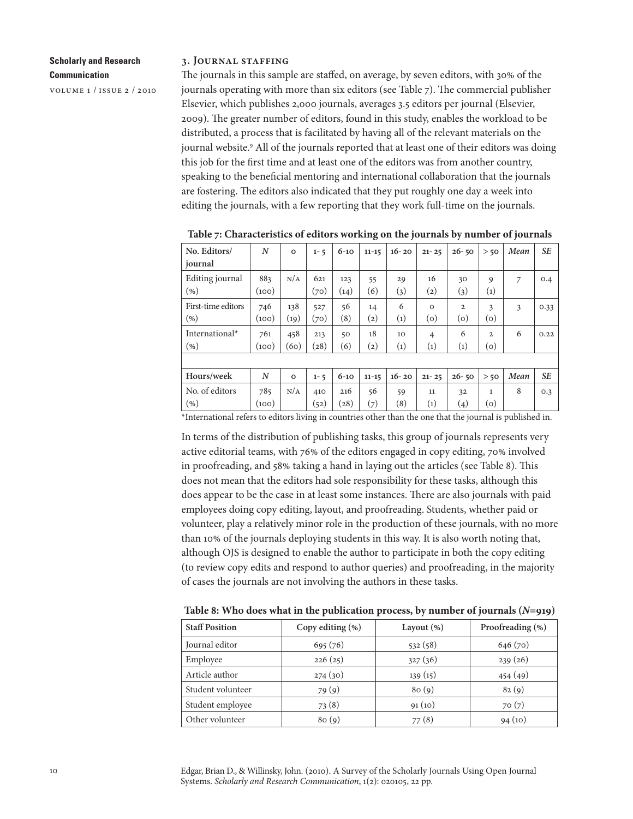#### **3. Journal staffing**

**Scholarly and Research Communication**

volume 1 / issue 2 / 2010

The journals in this sample are staffed, on average, by seven editors, with 30% of the journals operating with more than six editors (see Table 7). The commercial publisher Elsevier, which publishes 2,000 journals, averages 3.5 editors per journal (Elsevier, 2009). The greater number of editors, found in this study, enables the workload to be distributed, a process that is facilitated by having all of the relevant materials on the journal website.9 All of the journals reported that at least one of their editors was doing this job for the first time and at least one of the editors was from another country, speaking to the beneficial mentoring and international collaboration that the journals are fostering. The editors also indicated that they put roughly one day a week into editing the journals, with a few reporting that they work full-time on the journals.

|                            |                  |              |             |                        | ັ                       | ╯                       |                                     |                         |                        |      |           |
|----------------------------|------------------|--------------|-------------|------------------------|-------------------------|-------------------------|-------------------------------------|-------------------------|------------------------|------|-----------|
| No. Editors/<br>journal    | N                | $\mathbf{o}$ | $1 - 5$     | $6 - 10$               | $11 - 15$               | $16 - 20$               | $21 - 25$                           | $26 - 50$               | > 50                   | Mean | <b>SE</b> |
| Editing journal<br>( %)    | 883<br>(100)     | N/A          | 621<br>(70) | 123<br>(14)            | 55<br>(6)               | 29<br>$_{(3)}$          | 16<br>$\rm _{(2)}$                  | 30<br>$\left( 3\right)$ | 9<br>$\left( 1\right)$ | 7    | 0.4       |
| First-time editors<br>(% ) | 746<br>(100)     | 138<br>(19)  | 527<br>(70) | 56<br>$\left(8\right)$ | 14<br>$\left( 2\right)$ | 6<br>(1)                | $\Omega$<br>(o)                     | $\overline{2}$<br>(0)   | 3<br>(o)               | 3    | 0.33      |
| International*<br>( %)     | 761<br>(100)     | 458<br>(60)  | 213<br>(28) | 50<br>(6)              | 18<br>$\left( 2\right)$ | 10<br>$\left( 1\right)$ | $\overline{4}$<br>$\left( 1\right)$ | 6<br>$\left( 1\right)$  | $\mathbf{2}$<br>(o)    | 6    | 0.22      |
|                            |                  |              |             |                        |                         |                         |                                     |                         |                        |      |           |
| Hours/week                 | $\boldsymbol{N}$ | $\mathbf{o}$ | $1 - 5$     | $6 - 10$               | $11 - 15$               | $16 - 20$               | $21 - 25$                           | $26 - 50$               | > 50                   | Mean | <b>SE</b> |
| No. of editors<br>( %)     | 785<br>(100)     | N/A          | 410<br>(52) | 216<br>(28)            | 56<br>(7)               | 59<br>(8)               | 11<br>$_{(1)}$                      | 32<br>$\left( 4\right)$ | 1<br>(o)               | 8    | 0.3       |

**Table 7: Characteristics of editors working on the journals by number of journals**

\*International refers to editors living in countries other than the one that the journal is published in.

In terms of the distribution of publishing tasks, this group of journals represents very active editorial teams, with 76% of the editors engaged in copy editing, 70% involved in proofreading, and 58% taking a hand in laying out the articles (see Table 8). This does not mean that the editors had sole responsibility for these tasks, although this does appear to be the case in at least some instances. There are also journals with paid employees doing copy editing, layout, and proofreading. Students, whether paid or volunteer, play a relatively minor role in the production of these journals, with no more than 10% of the journals deploying students in this way. It is also worth noting that, although OJS is designed to enable the author to participate in both the copy editing (to review copy edits and respond to author queries) and proofreading, in the majority of cases the journals are not involving the authors in these tasks.

| <b>Staff Position</b> | Copy editing (%) | Layout $(\% )$ | Proofreading (%) |
|-----------------------|------------------|----------------|------------------|
| Journal editor        | 695(76)          | 532(58)        | 646(70)          |
| Employee              | 226(25)          | 327(36)        | 239(26)          |
| Article author        | 274(30)          | 139(15)        | 454(49)          |
| Student volunteer     | 79 (9)           | 80(9)          | 82(9)            |
| Student employee      | 73(8)            | 91(10)         | 70(7)            |
| Other volunteer       | 80(9)            | 77(8)          | 94(10)           |

**Table 8: Who does what in the publication process, by number of journals (***N***=919)**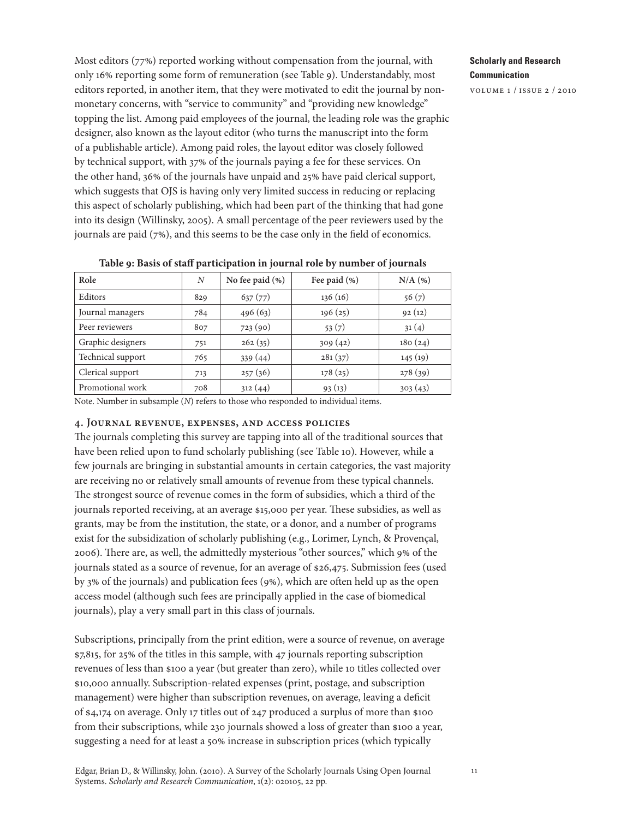Most editors (77%) reported working without compensation from the journal, with only 16% reporting some form of remuneration (see Table 9). Understandably, most editors reported, in another item, that they were motivated to edit the journal by nonmonetary concerns, with "service to community" and "providing new knowledge" topping the list. Among paid employees of the journal, the leading role was the graphic designer, also known as the layout editor (who turns the manuscript into the form of a publishable article). Among paid roles, the layout editor was closely followed by technical support, with 37% of the journals paying a fee for these services. On the other hand, 36% of the journals have unpaid and 25% have paid clerical support, which suggests that OJS is having only very limited success in reducing or replacing this aspect of scholarly publishing, which had been part of the thinking that had gone into its design (Willinsky, 2005). A small percentage of the peer reviewers used by the journals are paid (7%), and this seems to be the case only in the field of economics.

# **Scholarly and Research Communication**

volume 1 / issue 2 / 2010

| Role              | N   | No fee paid $(\%)$ | Fee paid $(\% )$ | $N/A$ $(\% )$ |
|-------------------|-----|--------------------|------------------|---------------|
| Editors           | 829 | 637(77)            | 136(16)          | 56(7)         |
| Journal managers  | 784 | 496(63)            | 196(25)          | 92(12)        |
| Peer reviewers    | 807 | 723(90)            | 53(7)            | 31(4)         |
| Graphic designers | 751 | 262(35)            | 309(42)          | 180(24)       |
| Technical support | 765 | 339(44)            | 281(37)          | 145(19)       |
| Clerical support  | 713 | 257(36)            | 178(25)          | 278(39)       |
| Promotional work  | 708 | 312(44)            | 93(13)           | 303(43)       |

#### **Table 9: Basis of staff participation in journal role by number of journals**

Note. Number in subsample (*N*) refers to those who responded to individual items.

### **4. Journal revenue, expenses, and access policies**

The journals completing this survey are tapping into all of the traditional sources that have been relied upon to fund scholarly publishing (see Table 10). However, while a few journals are bringing in substantial amounts in certain categories, the vast majority are receiving no or relatively small amounts of revenue from these typical channels. The strongest source of revenue comes in the form of subsidies, which a third of the journals reported receiving, at an average \$15,000 per year. These subsidies, as well as grants, may be from the institution, the state, or a donor, and a number of programs exist for the subsidization of scholarly publishing (e.g., Lorimer, Lynch, & Provençal, 2006). There are, as well, the admittedly mysterious "other sources," which 9% of the journals stated as a source of revenue, for an average of \$26,475. Submission fees (used by 3% of the journals) and publication fees (9%), which are often held up as the open access model (although such fees are principally applied in the case of biomedical journals), play a very small part in this class of journals.

Subscriptions, principally from the print edition, were a source of revenue, on average \$7,815, for 25% of the titles in this sample, with 47 journals reporting subscription revenues of less than \$100 a year (but greater than zero), while 10 titles collected over \$10,000 annually. Subscription-related expenses (print, postage, and subscription management) were higher than subscription revenues, on average, leaving a deficit of \$4,174 on average. Only 17 titles out of 247 produced a surplus of more than \$100 from their subscriptions, while 230 journals showed a loss of greater than \$100 a year, suggesting a need for at least a 50% increase in subscription prices (which typically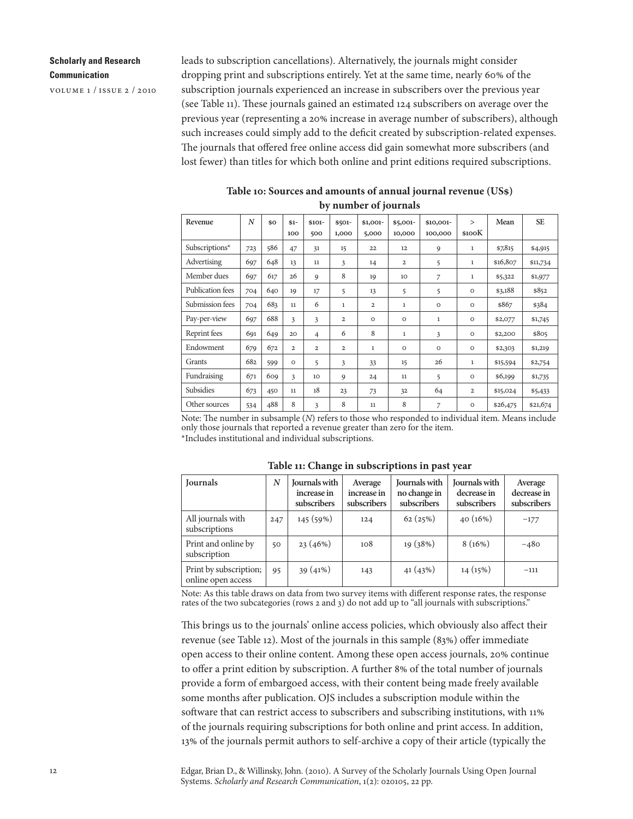volume 1 / issue 2 / 2010

leads to subscription cancellations). Alternatively, the journals might consider dropping print and subscriptions entirely. Yet at the same time, nearly 60% of the subscription journals experienced an increase in subscribers over the previous year (see Table 11). These journals gained an estimated 124 subscribers on average over the previous year (representing a 20% increase in average number of subscribers), although such increases could simply add to the deficit created by subscription-related expenses. The journals that offered free online access did gain somewhat more subscribers (and lost fewer) than titles for which both online and print editions required subscriptions.

| <u>- , </u><br>-- -- 1- |                  |     |                         |                |                         |                |              |              |              |          |           |
|-------------------------|------------------|-----|-------------------------|----------------|-------------------------|----------------|--------------|--------------|--------------|----------|-----------|
| Revenue                 | $\boldsymbol{N}$ | \$0 | $$1-$                   | $$101-$        | \$501-                  | \$1,001-       | \$5,001-     | \$10,001-    | $\geq$       | Mean     | <b>SE</b> |
|                         |                  |     | 100                     | 500            | 1,000                   | 5,000          | 10,000       | 100,000      | \$100K       |          |           |
| Subscriptions*          | 723              | 586 | 47                      | 31             | 15                      | 22             | 12           | 9            | $\mathbf{1}$ | \$7,815  | \$4,915   |
| Advertising             | 697              | 648 | 13                      | 11             | $\overline{\mathbf{3}}$ | 14             | $\mathbf{2}$ | 5            | $\mathbf{1}$ | \$16,807 | \$11,734  |
| Member dues             | 697              | 617 | 26                      | 9              | 8                       | 19             | 10           | 7            | $\mathbf{1}$ | \$5,322  | \$1,977   |
| Publication fees        | 704              | 640 | 19                      | 17             | 5                       | 13             | 5            | 5            | $\circ$      | \$3,188  | \$852     |
| Submission fees         | 704              | 683 | 11                      | 6              | $\mathbf{1}$            | $\overline{2}$ | $\mathbf{1}$ | $\circ$      | $\circ$      | \$867    | \$384     |
| Pay-per-view            | 697              | 688 | 3                       | 3              | $\overline{2}$          | $\circ$        | $\circ$      | $\mathbf{1}$ | $\circ$      | \$2,077  | \$1,745   |
| Reprint fees            | 691              | 649 | 20                      | $\overline{4}$ | 6                       | 8              | $\mathbf{1}$ | 3            | $\circ$      | \$2,200  | \$805     |
| Endowment               | 679              | 672 | $\overline{2}$          | $\mathbf{2}$   | $\overline{2}$          | $\mathbf{1}$   | $\circ$      | $\circ$      | $\circ$      | \$2,303  | \$1,219   |
| Grants                  | 682              | 599 | $\circ$                 | 5              | 3                       | 33             | 15           | 26           | $\mathbf{1}$ | \$15,594 | \$2,754   |
| Fundraising             | 671              | 609 | $\overline{\mathbf{3}}$ | 10             | $\mathbf{Q}$            | 24             | 11           | 5            | $\circ$      | \$6,199  | \$1,735   |
| Subsidies               | 673              | 450 | 11                      | 18             | 23                      | 73             | 32           | 64           | $\mathbf{2}$ | \$15,024 | \$5,433   |
| Other sources           | 534              | 488 | 8                       | $\overline{3}$ | 8                       | 11             | 8            | 7            | $\circ$      | \$26,475 | \$21,674  |

**Table 10: Sources and amounts of annual journal revenue (US\$) by number of journals**

Note: The number in subsample (*N*) refers to those who responded to individual item. Means include only those journals that reported a revenue greater than zero for the item. \*Includes institutional and individual subscriptions.

**Table 11: Change in subscriptions in past year**

| Journals                                     | $\boldsymbol{N}$ | Journals with<br>increase in<br>subscribers | Average<br>increase in<br>subscribers | Journals with<br>no change in<br>subscribers | Journals with<br>decrease in<br>subscribers | Average<br>decrease in<br>subscribers |
|----------------------------------------------|------------------|---------------------------------------------|---------------------------------------|----------------------------------------------|---------------------------------------------|---------------------------------------|
| All journals with<br>subscriptions           | 247              | 145(59%)                                    | 124                                   | 62(25%)                                      | 40 $(16%)$                                  | $-177$                                |
| Print and online by<br>subscription          | 50               | 23(46%)                                     | 108                                   | 19(38%)                                      | 8(16%)                                      | $-480$                                |
| Print by subscription;<br>online open access | 95               | $39(41\%)$                                  | 143                                   | 41(43%)                                      | 14(15%)                                     | $-111$                                |

Note: As this table draws on data from two survey items with different response rates, the response rates of the two subcategories (rows 2 and 3) do not add up to "all journals with subscriptions."

This brings us to the journals' online access policies, which obviously also affect their revenue (see Table 12). Most of the journals in this sample (83%) offer immediate open access to their online content. Among these open access journals, 20% continue to offer a print edition by subscription. A further 8% of the total number of journals provide a form of embargoed access, with their content being made freely available some months after publication. OJS includes a subscription module within the software that can restrict access to subscribers and subscribing institutions, with 11% of the journals requiring subscriptions for both online and print access. In addition, 13% of the journals permit authors to self-archive a copy of their article (typically the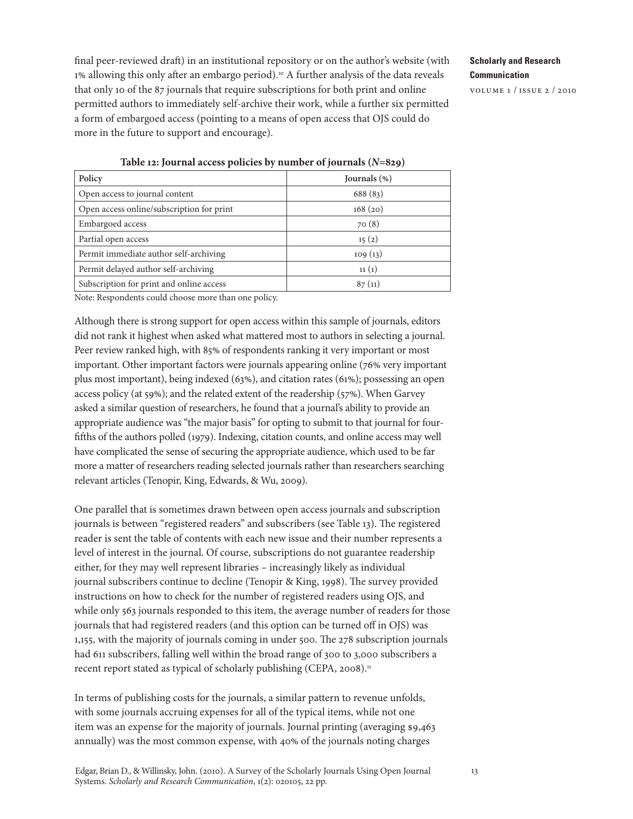final peer-reviewed draft) in an institutional repository or on the author's website (with 1% allowing this only after an embargo period).<sup>10</sup> A further analysis of the data reveals that only 10 of the 87 journals that require subscriptions for both print and online permitted authors to immediately self-archive their work, while a further six permitted a form of embargoed access (pointing to a means of open access that OJS could do more in the future to support and encourage).

# **Scholarly and Research Communication**

volume 1 / issue 2 / 2010

| Policy                                    | Journals (%) |
|-------------------------------------------|--------------|
| Open access to journal content            | 688 (83)     |
| Open access online/subscription for print | 168(20)      |
| Embargoed access                          | 70(8)        |
| Partial open access                       | 15(2)        |
| Permit immediate author self-archiving    | 109(13)      |
| Permit delayed author self-archiving      | 11(1)        |
| Subscription for print and online access  | 87(11)       |

**Table 12: Journal access policies by number of journals (***N***=829)**

Note: Respondents could choose more than one policy.

Although there is strong support for open access within this sample of journals, editors did not rank it highest when asked what mattered most to authors in selecting a journal. Peer review ranked high, with 85% of respondents ranking it very important or most important. Other important factors were journals appearing online (76% very important plus most important), being indexed (63%), and citation rates (61%); possessing an open access policy (at 59%); and the related extent of the readership (57%). When Garvey asked a similar question of researchers, he found that a journal's ability to provide an appropriate audience was "the major basis" for opting to submit to that journal for fourfifths of the authors polled (1979). Indexing, citation counts, and online access may well have complicated the sense of securing the appropriate audience, which used to be far more a matter of researchers reading selected journals rather than researchers searching relevant articles (Tenopir, King, Edwards, & Wu, 2009).

One parallel that is sometimes drawn between open access journals and subscription journals is between "registered readers" and subscribers (see Table 13). The registered reader is sent the table of contents with each new issue and their number represents a level of interest in the journal. Of course, subscriptions do not guarantee readership either, for they may well represent libraries – increasingly likely as individual journal subscribers continue to decline (Tenopir & King, 1998). The survey provided instructions on how to check for the number of registered readers using OJS, and while only 563 journals responded to this item, the average number of readers for those journals that had registered readers (and this option can be turned off in OJS) was 1,155, with the majority of journals coming in under 500. The 278 subscription journals had 611 subscribers, falling well within the broad range of 300 to 3,000 subscribers a recent report stated as typical of scholarly publishing (CEPA, 2008).<sup>11</sup>

In terms of publishing costs for the journals, a similar pattern to revenue unfolds, with some journals accruing expenses for all of the typical items, while not one item was an expense for the majority of journals. Journal printing (averaging \$9,463 annually) was the most common expense, with 40% of the journals noting charges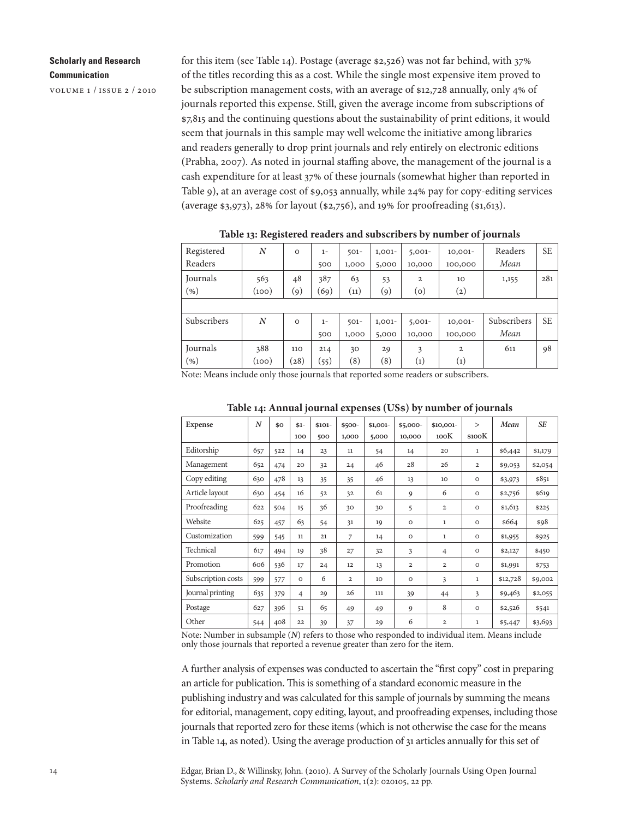volume 1 / issue 2 / 2010

for this item (see Table 14). Postage (average \$2,526) was not far behind, with 37% of the titles recording this as a cost. While the single most expensive item proved to be subscription management costs, with an average of \$12,728 annually, only 4% of journals reported this expense. Still, given the average income from subscriptions of \$7,815 and the continuing questions about the sustainability of print editions, it would seem that journals in this sample may well welcome the initiative among libraries and readers generally to drop print journals and rely entirely on electronic editions (Prabha, 2007). As noted in journal staffing above, the management of the journal is a cash expenditure for at least 37% of these journals (somewhat higher than reported in Table 9), at an average cost of \$9,053 annually, while 24% pay for copy-editing services (average \$3,973), 28% for layout (\$2,756), and 19% for proofreading (\$1,613).

| Registered<br>Readers | $\boldsymbol{N}$ | $\Omega$ | $1-$<br>500 | $501-$<br>1,000 | $1,001-$<br>5,000 | $5,001-$<br>10,000 | 10,001-<br>100,000 | Readers<br>Mean | <b>SE</b> |
|-----------------------|------------------|----------|-------------|-----------------|-------------------|--------------------|--------------------|-----------------|-----------|
| Journals              | 563              | 48       | 387         | 63              | 53                | $\overline{2}$     | 10                 | 1,155           | 281       |
| $(\% )$               | (100)            | (و)      | (69)        | (11)            | (9)               | (o)                | $\rm _{(2)}$       |                 |           |
|                       |                  |          |             |                 |                   |                    |                    |                 |           |
| Subscribers           | $\boldsymbol{N}$ | $\Omega$ | $1-$        | $501 -$         | $1,001-$          | $5,001-$           | 10,001-            | Subscribers     | <b>SE</b> |
|                       |                  |          | 500         | 1,000           | 5,000             | 10,000             | 100,000            | Mean            |           |
| Journals              | 388              | 110      | 214         | 30              | 29                | 3                  | $\mathbf{2}$       | 611             | 98        |
| $(\% )$               | (100)            | (28)     | (55)        | $^{(8)}$        | (8)               | $_{(1)}$           | $_{(1)}$           |                 |           |

**Table 13: Registered readers and subscribers by number of journals**

Note: Means include only those journals that reported some readers or subscribers.

| <b>Expense</b>     | $\boldsymbol{N}$ | \$0 | $$1-$<br>100   | $$101-$<br>500 | \$500-<br>1,000 | \$1,001-<br>5,000 | \$5,000-<br>10,000 | \$10,001-<br>100K | $\mathbf{r}$<br>\$100K | Mean     | <b>SE</b> |
|--------------------|------------------|-----|----------------|----------------|-----------------|-------------------|--------------------|-------------------|------------------------|----------|-----------|
| Editorship         | 657              | 522 | 14             | 23             | 11              | 54                | 14                 | 20                | $\mathbf{1}$           | \$6,442  | \$1,179   |
| Management         | 652              | 474 | 20             | 32             | 24              | 46                | 28                 | 26                | $\overline{2}$         | \$9,053  | \$2,054   |
| Copy editing       | 630              | 478 | 13             | 35             | 35              | 46                | 13                 | 10                | $\circ$                | \$3,973  | \$851     |
| Article layout     | 630              | 454 | 16             | 52             | 32              | 61                | 9                  | 6                 | $\circ$                | \$2,756  | \$619     |
| Proofreading       | 622              | 504 | 15             | 36             | 30              | 30                | 5                  | $\overline{2}$    | $\circ$                | \$1,613  | \$225     |
| Website            | 625              | 457 | 63             | 54             | 31              | 19                | $\circ$            | $\mathbf{1}$      | $\circ$                | \$664    | \$98      |
| Customization      | 599              | 545 | 11             | 21             | 7               | 14                | $\circ$            | $\mathbf{1}$      | $\circ$                | \$1,955  | \$925     |
| Technical          | 617              | 494 | 19             | 38             | 27              | 32                | 3                  | 4                 | $\circ$                | \$2,127  | \$450     |
| Promotion          | 606              | 536 | 17             | 24             | 12              | 13                | $\overline{2}$     | $\overline{2}$    | $\circ$                | \$1,991  | \$753     |
| Subscription costs | 599              | 577 | $\circ$        | 6              | $\overline{2}$  | 10                | $\circ$            | 3                 | $\mathbf{1}$           | \$12,728 | \$9,002   |
| Journal printing   | 635              | 379 | $\overline{4}$ | 29             | 26              | 111               | 39                 | 44                | 3                      | \$9,463  | \$2,055   |
| Postage            | 627              | 396 | 51             | 65             | 49              | 49                | 9                  | 8                 | $\circ$                | \$2,526  | \$541     |
| Other              | 544              | 408 | 22             | 39             | 37              | 29                | 6                  | $\mathbf{2}$      | $\mathbf{1}$           | \$5,447  | \$3,693   |

**Table 14: Annual journal expenses (US\$) by number of journals**

Note: Number in subsample (*N*) refers to those who responded to individual item. Means include only those journals that reported a revenue greater than zero for the item.

A further analysis of expenses was conducted to ascertain the "first copy" cost in preparing an article for publication. This is something of a standard economic measure in the publishing industry and was calculated for this sample of journals by summing the means for editorial, management, copy editing, layout, and proofreading expenses, including those journals that reported zero for these items (which is not otherwise the case for the means in Table 14, as noted). Using the average production of 31 articles annually for this set of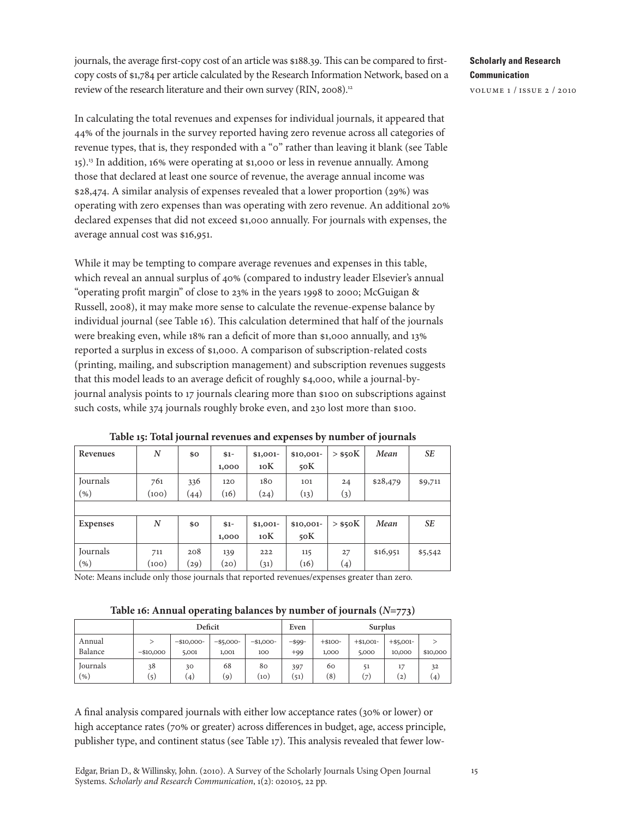journals, the average first-copy cost of an article was \$188.39. This can be compared to firstcopy costs of \$1,784 per article calculated by the Research Information Network, based on a review of the research literature and their own survey (RIN, 2008).<sup>12</sup>

In calculating the total revenues and expenses for individual journals, it appeared that 44% of the journals in the survey reported having zero revenue across all categories of revenue types, that is, they responded with a "0" rather than leaving it blank (see Table 15).13 In addition, 16% were operating at \$1,000 or less in revenue annually. Among those that declared at least one source of revenue, the average annual income was \$28,474. A similar analysis of expenses revealed that a lower proportion (29%) was operating with zero expenses than was operating with zero revenue. An additional 20% declared expenses that did not exceed \$1,000 annually. For journals with expenses, the average annual cost was \$16,951.

While it may be tempting to compare average revenues and expenses in this table, which reveal an annual surplus of 40% (compared to industry leader Elsevier's annual "operating profit margin" of close to 23% in the years 1998 to 2000; McGuigan & Russell, 2008), it may make more sense to calculate the revenue-expense balance by individual journal (see Table 16). This calculation determined that half of the journals were breaking even, while 18% ran a deficit of more than \$1,000 annually, and 13% reported a surplus in excess of \$1,000. A comparison of subscription-related costs (printing, mailing, and subscription management) and subscription revenues suggests that this model leads to an average deficit of roughly \$4,000, while a journal-byjournal analysis points to 17 journals clearing more than \$100 on subscriptions against such costs, while 374 journals roughly broke even, and 230 lost more than \$100.

| Revenues        | $\boldsymbol{N}$ | \$0  | $$1-$ | \$1,001-  | \$10,001- | $>$ \$50 $K$      | Mean     | <b>SE</b> |
|-----------------|------------------|------|-------|-----------|-----------|-------------------|----------|-----------|
|                 |                  |      | 1,000 | 10K       | 50K       |                   |          |           |
| Journals        | 761              | 336  | 120   | 180       | 101       | 24                | \$28,479 | \$9,711   |
| $(\% )$         | (100)            | (44) | (16)  | (24)      | (13)      | (3)               |          |           |
|                 |                  |      |       |           |           |                   |          |           |
| <b>Expenses</b> | $\boldsymbol{N}$ | \$0  | $$1-$ | \$1,001-  | \$10,001- | $>$ \$50 $K$      | Mean     | <b>SE</b> |
|                 |                  |      | 1,000 | 10K       | 50K       |                   |          |           |
| Journals        | 711              | 208  | 139   | 222       | 115       | 27                | \$16,951 | \$5,542   |
| ( %)            | (100)            | (29) | (20)  | $_{(31)}$ | (16)      | $\left( 4\right)$ |          |           |

**Table 15: Total journal revenues and expenses by number of journals**

Note: Means include only those journals that reported revenues/expenses greater than zero.

|          |            | Deficit       |              |            | Even      | Surplus    |             |                  |                   |
|----------|------------|---------------|--------------|------------|-----------|------------|-------------|------------------|-------------------|
| Annual   |            | $-$10,000-$   | $-$ \$5,000- | $-$1,000-$ | $-$ \$99- | $+$ \$100- | $+ $1,001-$ | $+$ \$5,001-     |                   |
| Balance  | $-$10,000$ | 5,001         | 1,001        | 100        | $+99$     | 1,000      | 5,000       | 10,000           | \$10,000          |
| Journals | 38         | 30            | 68           | 80         | 397       | 60         | 51          | 17               | 32                |
| (% )     | (5)        | $\mathcal{A}$ | (و)          | $_{10}$    | (51)      | (8)        | (7)         | $\left 2\right $ | $\left( 4\right)$ |

A final analysis compared journals with either low acceptance rates (30% or lower) or high acceptance rates (70% or greater) across differences in budget, age, access principle, publisher type, and continent status (see Table 17). This analysis revealed that fewer low-

# **Scholarly and Research Communication**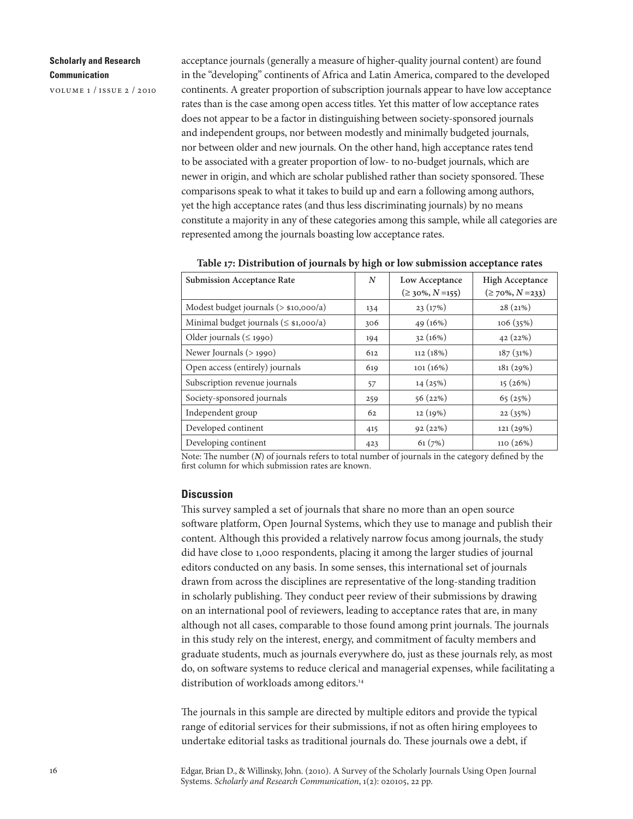volume 1 / issue 2 / 2010

acceptance journals (generally a measure of higher-quality journal content) are found in the "developing" continents of Africa and Latin America, compared to the developed continents. A greater proportion of subscription journals appear to have low acceptance rates than is the case among open access titles. Yet this matter of low acceptance rates does not appear to be a factor in distinguishing between society-sponsored journals and independent groups, nor between modestly and minimally budgeted journals, nor between older and new journals. On the other hand, high acceptance rates tend to be associated with a greater proportion of low- to no-budget journals, which are newer in origin, and which are scholar published rather than society sponsored. These comparisons speak to what it takes to build up and earn a following among authors, yet the high acceptance rates (and thus less discriminating journals) by no means constitute a majority in any of these categories among this sample, while all categories are represented among the journals boasting low acceptance rates.

| <b>Submission Acceptance Rate</b>          | N   | Low Acceptance<br>$(≥$ 30%, $N = 155)$ | <b>High Acceptance</b><br>$(≥70\%, N=233)$ |
|--------------------------------------------|-----|----------------------------------------|--------------------------------------------|
| Modest budget journals (> \$10,000/a)      | 134 | 23(17%)                                | 28(21%)                                    |
| Minimal budget journals $(\leq$ \$1,000/a) | 306 | 49(16%)                                | 106(35%)                                   |
| Older journals $( \leq 1990)$              | 194 | 32(16%)                                | 42(22%)                                    |
| Newer Journals $(>1990)$                   | 612 | 112(18%)                               | 187(31%)                                   |
| Open access (entirely) journals            | 619 | 101(16%)                               | 181(29%)                                   |
| Subscription revenue journals              | 57  | 14(25%)                                | 15(26%)                                    |
| Society-sponsored journals                 | 259 | 56(22%)                                | 65(25%)                                    |
| Independent group                          | 62  | 12(19%)                                | 22(35%)                                    |
| Developed continent                        | 415 | 92(22%)                                | 121(29%)                                   |
| Developing continent                       | 423 | 61(7%)                                 | 110(26%)                                   |

**Table 17: Distribution of journals by high or low submission acceptance rates**

Note: The number (*N*) of journals refers to total number of journals in the category defined by the first column for which submission rates are known.

### **Discussion**

This survey sampled a set of journals that share no more than an open source software platform, Open Journal Systems, which they use to manage and publish their content. Although this provided a relatively narrow focus among journals, the study did have close to 1,000 respondents, placing it among the larger studies of journal editors conducted on any basis. In some senses, this international set of journals drawn from across the disciplines are representative of the long-standing tradition in scholarly publishing. They conduct peer review of their submissions by drawing on an international pool of reviewers, leading to acceptance rates that are, in many although not all cases, comparable to those found among print journals. The journals in this study rely on the interest, energy, and commitment of faculty members and graduate students, much as journals everywhere do, just as these journals rely, as most do, on software systems to reduce clerical and managerial expenses, while facilitating a distribution of workloads among editors.<sup>14</sup>

The journals in this sample are directed by multiple editors and provide the typical range of editorial services for their submissions, if not as often hiring employees to undertake editorial tasks as traditional journals do. These journals owe a debt, if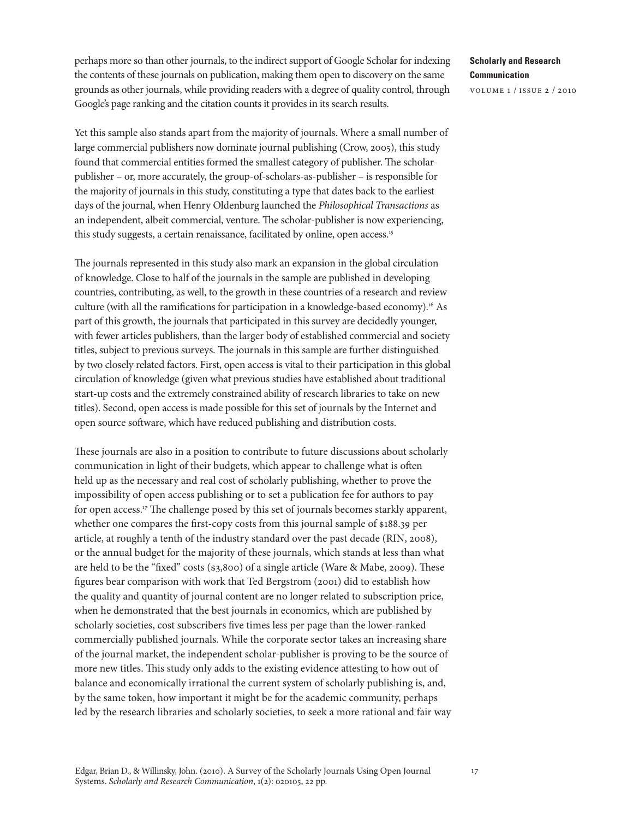perhaps more so than other journals, to the indirect support of Google Scholar for indexing the contents of these journals on publication, making them open to discovery on the same grounds as other journals, while providing readers with a degree of quality control, through Google's page ranking and the citation counts it provides in its search results.

Yet this sample also stands apart from the majority of journals. Where a small number of large commercial publishers now dominate journal publishing (Crow, 2005), this study found that commercial entities formed the smallest category of publisher. The scholarpublisher – or, more accurately, the group-of-scholars-as-publisher – is responsible for the majority of journals in this study, constituting a type that dates back to the earliest days of the journal, when Henry Oldenburg launched the *Philosophical Transactions* as an independent, albeit commercial, venture. The scholar-publisher is now experiencing, this study suggests, a certain renaissance, facilitated by online, open access.<sup>15</sup>

The journals represented in this study also mark an expansion in the global circulation of knowledge. Close to half of the journals in the sample are published in developing countries, contributing, as well, to the growth in these countries of a research and review culture (with all the ramifications for participation in a knowledge-based economy).<sup>16</sup> As part of this growth, the journals that participated in this survey are decidedly younger, with fewer articles publishers, than the larger body of established commercial and society titles, subject to previous surveys. The journals in this sample are further distinguished by two closely related factors. First, open access is vital to their participation in this global circulation of knowledge (given what previous studies have established about traditional start-up costs and the extremely constrained ability of research libraries to take on new titles). Second, open access is made possible for this set of journals by the Internet and open source software, which have reduced publishing and distribution costs.

These journals are also in a position to contribute to future discussions about scholarly communication in light of their budgets, which appear to challenge what is often held up as the necessary and real cost of scholarly publishing, whether to prove the impossibility of open access publishing or to set a publication fee for authors to pay for open access.17 The challenge posed by this set of journals becomes starkly apparent, whether one compares the first-copy costs from this journal sample of \$188.39 per article, at roughly a tenth of the industry standard over the past decade (RIN, 2008), or the annual budget for the majority of these journals, which stands at less than what are held to be the "fixed" costs (\$3,800) of a single article (Ware & Mabe, 2009). These figures bear comparison with work that Ted Bergstrom (2001) did to establish how the quality and quantity of journal content are no longer related to subscription price, when he demonstrated that the best journals in economics, which are published by scholarly societies, cost subscribers five times less per page than the lower-ranked commercially published journals. While the corporate sector takes an increasing share of the journal market, the independent scholar-publisher is proving to be the source of more new titles. This study only adds to the existing evidence attesting to how out of balance and economically irrational the current system of scholarly publishing is, and, by the same token, how important it might be for the academic community, perhaps led by the research libraries and scholarly societies, to seek a more rational and fair way **Scholarly and Research Communication**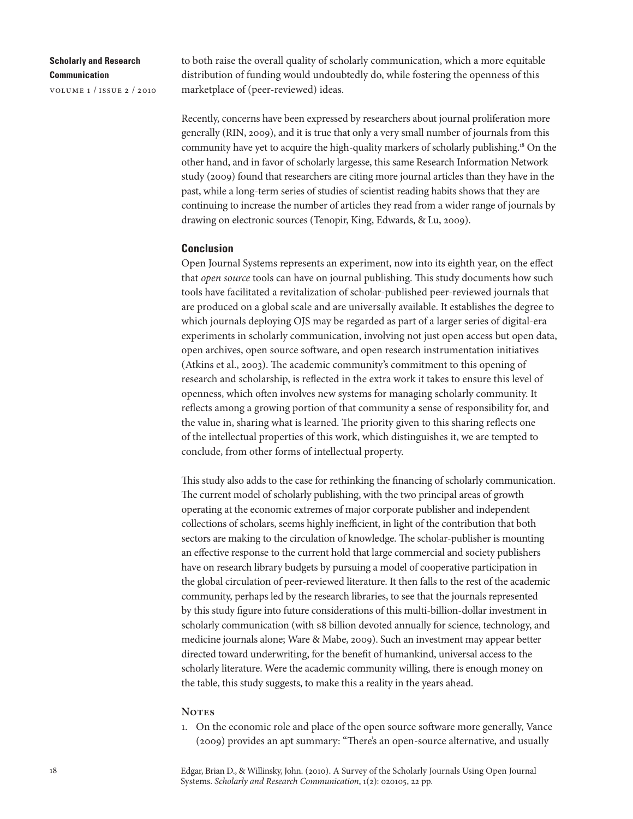volume 1 / issue 2 / 2010

to both raise the overall quality of scholarly communication, which a more equitable distribution of funding would undoubtedly do, while fostering the openness of this marketplace of (peer-reviewed) ideas.

Recently, concerns have been expressed by researchers about journal proliferation more generally (RIN, 2009), and it is true that only a very small number of journals from this community have yet to acquire the high-quality markers of scholarly publishing.<sup>18</sup> On the other hand, and in favor of scholarly largesse, this same Research Information Network study (2009) found that researchers are citing more journal articles than they have in the past, while a long-term series of studies of scientist reading habits shows that they are continuing to increase the number of articles they read from a wider range of journals by drawing on electronic sources (Tenopir, King, Edwards, & Lu, 2009).

### **Conclusion**

Open Journal Systems represents an experiment, now into its eighth year, on the effect that *open source* tools can have on journal publishing. This study documents how such tools have facilitated a revitalization of scholar-published peer-reviewed journals that are produced on a global scale and are universally available. It establishes the degree to which journals deploying OJS may be regarded as part of a larger series of digital-era experiments in scholarly communication, involving not just open access but open data, open archives, open source software, and open research instrumentation initiatives (Atkins et al., 2003). The academic community's commitment to this opening of research and scholarship, is reflected in the extra work it takes to ensure this level of openness, which often involves new systems for managing scholarly community. It reflects among a growing portion of that community a sense of responsibility for, and the value in, sharing what is learned. The priority given to this sharing reflects one of the intellectual properties of this work, which distinguishes it, we are tempted to conclude, from other forms of intellectual property.

This study also adds to the case for rethinking the financing of scholarly communication. The current model of scholarly publishing, with the two principal areas of growth operating at the economic extremes of major corporate publisher and independent collections of scholars, seems highly inefficient, in light of the contribution that both sectors are making to the circulation of knowledge. The scholar-publisher is mounting an effective response to the current hold that large commercial and society publishers have on research library budgets by pursuing a model of cooperative participation in the global circulation of peer-reviewed literature. It then falls to the rest of the academic community, perhaps led by the research libraries, to see that the journals represented by this study figure into future considerations of this multi-billion-dollar investment in scholarly communication (with \$8 billion devoted annually for science, technology, and medicine journals alone; Ware & Mabe, 2009). Such an investment may appear better directed toward underwriting, for the benefit of humankind, universal access to the scholarly literature. Were the academic community willing, there is enough money on the table, this study suggests, to make this a reality in the years ahead.

#### **Notes**

1. On the economic role and place of the open source software more generally, Vance (2009) provides an apt summary: "There's an open-source alternative, and usually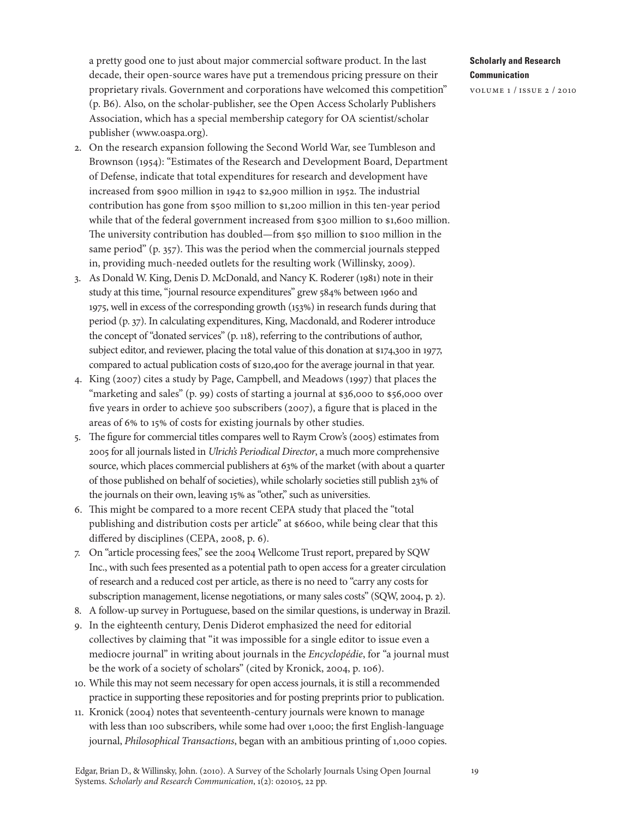a pretty good one to just about major commercial software product. In the last decade, their open-source wares have put a tremendous pricing pressure on their proprietary rivals. Government and corporations have welcomed this competition" (p. B6). Also, on the scholar-publisher, see the Open Access Scholarly Publishers Association, which has a special membership category for OA scientist/scholar publisher (www.oaspa.org).

- 2. On the research expansion following the Second World War, see Tumbleson and Brownson (1954): "Estimates of the Research and Development Board, Department of Defense, indicate that total expenditures for research and development have increased from \$900 million in 1942 to \$2,900 million in 1952. The industrial contribution has gone from \$500 million to \$1,200 million in this ten-year period while that of the federal government increased from \$300 million to \$1,600 million. The university contribution has doubled—from \$50 million to \$100 million in the same period" (p. 357). This was the period when the commercial journals stepped in, providing much-needed outlets for the resulting work (Willinsky, 2009).
- 3. As Donald W. King, Denis D. McDonald, and Nancy K. Roderer (1981) note in their study at this time, "journal resource expenditures" grew 584% between 1960 and 1975, well in excess of the corresponding growth (153%) in research funds during that period (p. 37). In calculating expenditures, King, Macdonald, and Roderer introduce the concept of "donated services" (p. 118), referring to the contributions of author, subject editor, and reviewer, placing the total value of this donation at \$174,300 in 1977, compared to actual publication costs of \$120,400 for the average journal in that year.
- 4. King (2007) cites a study by Page, Campbell, and Meadows (1997) that places the "marketing and sales" (p. 99) costs of starting a journal at \$36,000 to \$56,000 over five years in order to achieve 500 subscribers (2007), a figure that is placed in the areas of 6% to 15% of costs for existing journals by other studies.
- 5. The figure for commercial titles compares well to Raym Crow's (2005) estimates from 2005 for all journals listed in *Ulrich's Periodical Director*, a much more comprehensive source, which places commercial publishers at 63% of the market (with about a quarter of those published on behalf of societies), while scholarly societies still publish 23% of the journals on their own, leaving 15% as "other," such as universities.
- 6. This might be compared to a more recent CEPA study that placed the "total publishing and distribution costs per article" at \$6600, while being clear that this differed by disciplines (CEPA, 2008, p. 6).
- 7. On "article processing fees," see the 2004 Wellcome Trust report, prepared by SQW Inc., with such fees presented as a potential path to open access for a greater circulation of research and a reduced cost per article, as there is no need to "carry any costs for subscription management, license negotiations, or many sales costs" (SQW, 2004, p. 2).
- 8. A follow-up survey in Portuguese, based on the similar questions, is underway in Brazil.
- 9. In the eighteenth century, Denis Diderot emphasized the need for editorial collectives by claiming that "it was impossible for a single editor to issue even a mediocre journal" in writing about journals in the *Encyclopédie*, for "a journal must be the work of a society of scholars" (cited by Kronick, 2004, p. 106).
- 10. While this may not seem necessary for open access journals, it is still a recommended practice in supporting these repositories and for posting preprints prior to publication.
- 11. Kronick (2004) notes that seventeenth-century journals were known to manage with less than 100 subscribers, while some had over 1,000; the first English-language journal, *Philosophical Transactions*, began with an ambitious printing of 1,000 copies.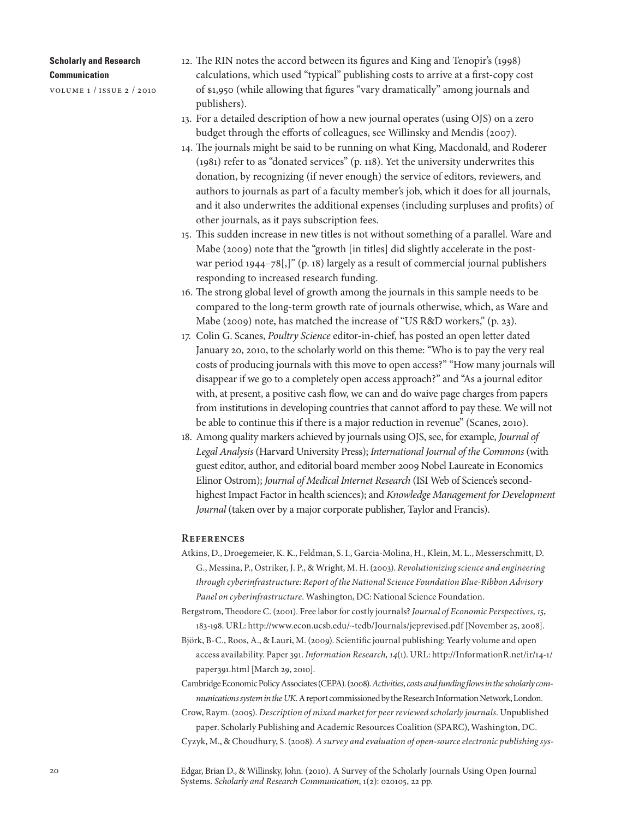volume 1 / issue 2 / 2010

- 12. The RIN notes the accord between its figures and King and Tenopir's (1998) calculations, which used "typical" publishing costs to arrive at a first-copy cost of \$1,950 (while allowing that figures "vary dramatically" among journals and publishers).
- 13. For a detailed description of how a new journal operates (using OJS) on a zero budget through the efforts of colleagues, see Willinsky and Mendis (2007).
- 14. The journals might be said to be running on what King, Macdonald, and Roderer (1981) refer to as "donated services" (p. 118). Yet the university underwrites this donation, by recognizing (if never enough) the service of editors, reviewers, and authors to journals as part of a faculty member's job, which it does for all journals, and it also underwrites the additional expenses (including surpluses and profits) of other journals, as it pays subscription fees.
- 15. This sudden increase in new titles is not without something of a parallel. Ware and Mabe (2009) note that the "growth [in titles] did slightly accelerate in the postwar period 1944–78[,]" (p. 18) largely as a result of commercial journal publishers responding to increased research funding.
- 16. The strong global level of growth among the journals in this sample needs to be compared to the long-term growth rate of journals otherwise, which, as Ware and Mabe (2009) note, has matched the increase of "US R&D workers," (p. 23).
- 17. Colin G. Scanes, *Poultry Science* editor-in-chief, has posted an open letter dated January 20, 2010, to the scholarly world on this theme: "Who is to pay the very real costs of producing journals with this move to open access?" "How many journals will disappear if we go to a completely open access approach?" and "As a journal editor with, at present, a positive cash flow, we can and do waive page charges from papers from institutions in developing countries that cannot afford to pay these. We will not be able to continue this if there is a major reduction in revenue" (Scanes, 2010).
- 18. Among quality markers achieved by journals using OJS, see, for example, *Journal of Legal Analysis* (Harvard University Press); *International Journal of the Commons* (with guest editor, author, and editorial board member 2009 Nobel Laureate in Economics Elinor Ostrom); *Journal of Medical Internet Research* (ISI Web of Science's secondhighest Impact Factor in health sciences); and *Knowledge Management for Development Journal* (taken over by a major corporate publisher, Taylor and Francis).

#### **References**

- Atkins, D., Droegemeier, K. K., Feldman, S. I., Garcia-Molina, H., Klein, M. L., Messerschmitt, D. G., Messina, P., Ostriker, J. P., & Wright, M. H. (2003). *Revolutionizing science and engineering through cyberinfrastructure: Report of the National Science Foundation Blue-Ribbon Advisory Panel on cyberinfrastructure*. Washington, DC: National Science Foundation.
- Bergstrom, Theodore C. (2001). Free labor for costly journals? *Journal of Economic Perspectives, 15*, 183-198. URL: http://www.econ.ucsb.edu/~tedb/Journals/jeprevised.pdf [November 25, 2008].
- Björk, B-C., Roos, A., & Lauri, M. (2009). Scientific journal publishing: Yearly volume and open access availability. Paper 391. *Information Research, 14*(1). URL: http://InformationR.net/ir/14-1/ paper391.html [March 29, 2010].
- Cambridge Economic Policy Associates (CEPA). (2008). *Activities, costs and funding flows in the scholarly communications system in the UK*. A report commissioned by the Research Information Network, London.
- Crow, Raym. (2005). *Description of mixed market for peer reviewed scholarly journals*. Unpublished paper. Scholarly Publishing and Academic Resources Coalition (SPARC), Washington, DC.
- Cyzyk, M., & Choudhury, S. (2008). *A survey and evaluation of open-source electronic publishing sys-*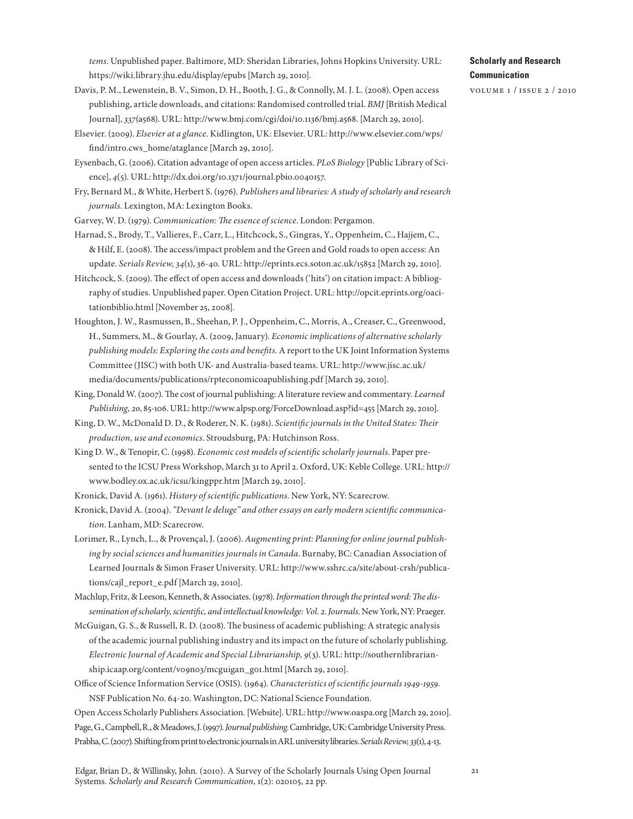*tems*. Unpublished paper. Baltimore, MD: Sheridan Libraries, Johns Hopkins University. URL: https://wiki.library.jhu.edu/display/epubs [March 29, 2010].

- Davis, P. M., Lewenstein, B. V., Simon, D. H., Booth, J. G., & Connolly, M. J. L. (2008). Open access publishing, article downloads, and citations: Randomised controlled trial. *BMJ* [British Medical Journal], *337*(a568). URL: http://www.bmj.com/cgi/doi/10.1136/bmj.a568. [March 29, 2010].
- Elsevier. (2009). *Elsevier at a glance*. Kidlington, UK: Elsevier. URL: http://www.elsevier.com/wps/ find/intro.cws\_home/ataglance [March 29, 2010].
- Eysenbach, G. (2006). Citation advantage of open access articles. *PLoS Biology* [Public Library of Science], *4*(5). URL: http://dx.doi.org/10.1371/journal.pbio.0040157.
- Fry, Bernard M., & White, Herbert S. (1976). *Publishers and libraries: A study of scholarly and research journals*. Lexington, MA: Lexington Books.

Garvey, W. D. (1979). *Communication: The essence of science*. London: Pergamon.

- Harnad, S., Brody, T., Vallieres, F., Carr, L., Hitchcock, S., Gingras, Y., Oppenheim, C., Hajjem, C., & Hilf, E. (2008). The access/impact problem and the Green and Gold roads to open access: An update. *Serials Review, 34*(1), 36-40. URL: http://eprints.ecs.soton.ac.uk/15852 [March 29, 2010].
- Hitchcock, S. (2009). The effect of open access and downloads ('hits') on citation impact: A bibliography of studies. Unpublished paper. Open Citation Project. URL: http://opcit.eprints.org/oacitationbiblio.html [November 25, 2008].
- Houghton, J. W., Rasmussen, B., Sheehan, P. J., Oppenheim, C., Morris, A., Creaser, C., Greenwood, H., Summers, M., & Gourlay, A. (2009, January). *Economic implications of alternative scholarly publishing models: Exploring the costs and benefits*. A report to the UK Joint Information Systems Committee (JISC) with both UK- and Australia-based teams. URL: http://www.jisc.ac.uk/ media/documents/publications/rpteconomicoapublishing.pdf [March 29, 2010].
- King, Donald W. (2007). The cost of journal publishing: A literature review and commentary. *Learned Publishing, 20*, 85-106. URL: http://www.alpsp.org/ForceDownload.asp?id=455 [March 29, 2010].
- King, D. W., McDonald D. D., & Roderer, N. K. (1981). *Scientific journals in the United States: Their production, use and economics*. Stroudsburg, PA: Hutchinson Ross.
- King D. W., & Tenopir, C. (1998). *Economic cost models of scientific scholarly journals*. Paper presented to the ICSU Press Workshop, March 31 to April 2. Oxford, UK: Keble College. URL: http:// www.bodley.ox.ac.uk/icsu/kingppr.htm [March 29, 2010].

Kronick, David A. (1961). *History of scientific publications*. New York, NY: Scarecrow.

- Kronick, David A. (2004). *"Devant le deluge" and other essays on early modern scientific communication*. Lanham, MD: Scarecrow.
- Lorimer, R., Lynch, L., & Provençal, J. (2006). *Augmenting print: Planning for online journal publishing by social sciences and humanities journals in Canada*. Burnaby, BC: Canadian Association of Learned Journals & Simon Fraser University. URL: http://www.sshrc.ca/site/about-crsh/publications/cajl\_report\_e.pdf [March 29, 2010].
- Machlup, Fritz, & Leeson, Kenneth, & Associates. (1978). *Information through the printed word: The dissemination of scholarly, scientific, and intellectual knowledge: Vol. 2. Journals*. New York, NY: Praeger.
- McGuigan, G. S., & Russell, R. D. (2008). The business of academic publishing: A strategic analysis of the academic journal publishing industry and its impact on the future of scholarly publishing. *Electronic Journal of Academic and Special Librarianship, 9*(3). URL: http://southernlibrarianship.icaap.org/content/v09n03/mcguigan\_g01.html [March 29, 2010].
- Office of Science Information Service (OSIS). (1964). *Characteristics of scientific journals 1949-1959*. NSF Publication No. 64-20. Washington, DC: National Science Foundation.

Open Access Scholarly Publishers Association. [Website]. URL: http://www.oaspa.org [March 29, 2010]. Page, G., Campbell, R., & Meadows, J. (1997). *Journal publishing*. Cambridge, UK: Cambridge University Press. Prabha, C. (2007). Shifting from print to electronic journals in ARL university libraries. *Serials Review, 33*(1), 4-13.

### **Scholarly and Research Communication**